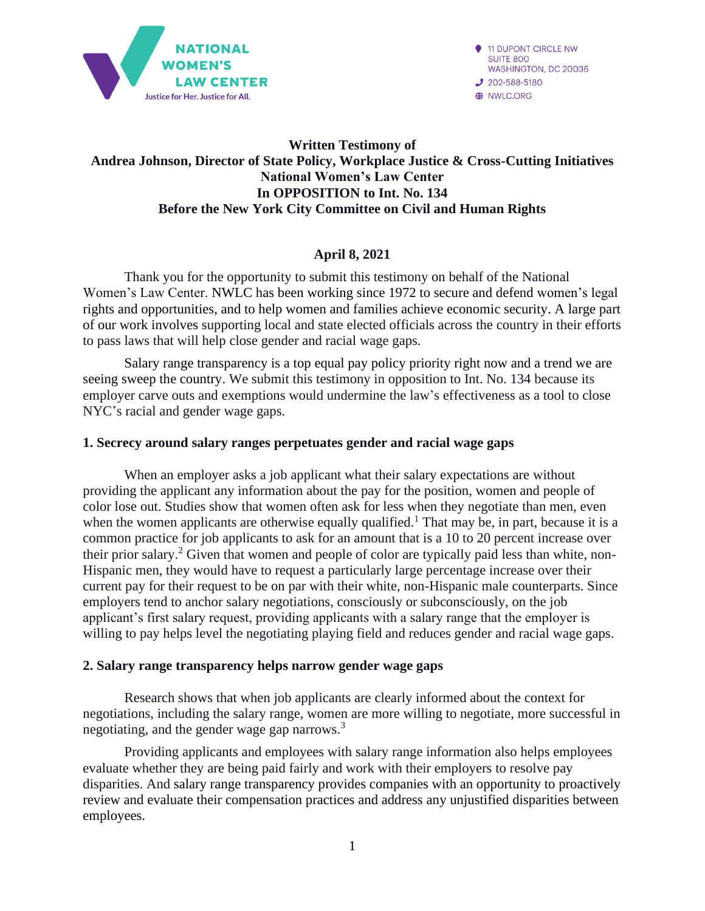

**11 DUPONT CIRCLE NW SUITE 800** WASHINGTON, DC 20036  $202 - 588 - 5180$ **O** NWLC.ORG

# **Written Testimony of Andrea Johnson, Director of State Policy, Workplace Justice & Cross-Cutting Initiatives National Women's Law Center In OPPOSITION to Int. No. 134 Before the New York City Committee on Civil and Human Rights**

# **April 8, 2021**

Thank you for the opportunity to submit this testimony on behalf of the National Women's Law Center. NWLC has been working since 1972 to secure and defend women's legal rights and opportunities, and to help women and families achieve economic security. A large part of our work involves supporting local and state elected officials across the country in their efforts to pass laws that will help close gender and racial wage gaps.

Salary range transparency is a top equal pay policy priority right now and a trend we are seeing sweep the country. We submit this testimony in opposition to Int. No. 134 because its employer carve outs and exemptions would undermine the law's effectiveness as a tool to close NYC's racial and gender wage gaps.

## **1. Secrecy around salary ranges perpetuates gender and racial wage gaps**

When an employer asks a job applicant what their salary expectations are without providing the applicant any information about the pay for the position, women and people of color lose out. Studies show that women often ask for less when they negotiate than men, even when the women applicants are otherwise equally qualified.<sup>1</sup> That may be, in part, because it is a common practice for job applicants to ask for an amount that is a 10 to 20 percent increase over their prior salary.<sup>2</sup> Given that women and people of color are typically paid less than white, non-Hispanic men, they would have to request a particularly large percentage increase over their current pay for their request to be on par with their white, non-Hispanic male counterparts. Since employers tend to anchor salary negotiations, consciously or subconsciously, on the job applicant's first salary request, providing applicants with a salary range that the employer is willing to pay helps level the negotiating playing field and reduces gender and racial wage gaps.

#### **2. Salary range transparency helps narrow gender wage gaps**

Research shows that when job applicants are clearly informed about the context for negotiations, including the salary range, women are more willing to negotiate, more successful in negotiating, and the gender wage gap narrows. 3

Providing applicants and employees with salary range information also helps employees evaluate whether they are being paid fairly and work with their employers to resolve pay disparities. And salary range transparency provides companies with an opportunity to proactively review and evaluate their compensation practices and address any unjustified disparities between employees.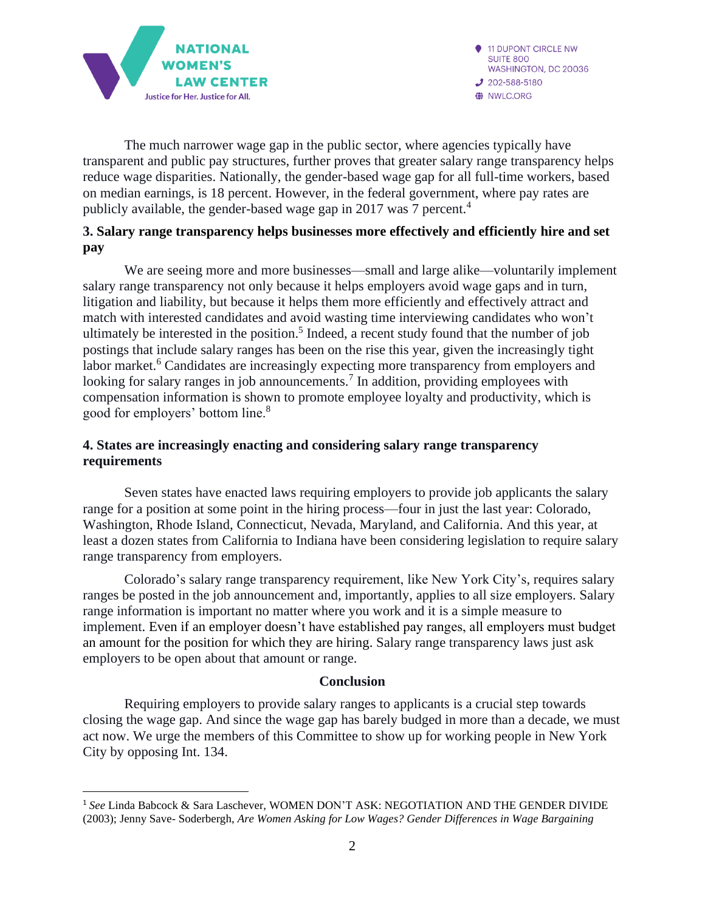

The much narrower wage gap in the public sector, where agencies typically have transparent and public pay structures, further proves that greater salary range transparency helps reduce wage disparities. Nationally, the gender-based wage gap for all full-time workers, based on median earnings, is 18 percent. However, in the federal government, where pay rates are publicly available, the gender-based wage gap in 2017 was 7 percent.<sup>4</sup>

## **3. Salary range transparency helps businesses more effectively and efficiently hire and set pay**

We are seeing more and more businesses—small and large alike—voluntarily implement salary range transparency not only because it helps employers avoid wage gaps and in turn, litigation and liability, but because it helps them more efficiently and effectively attract and match with interested candidates and avoid wasting time interviewing candidates who won't ultimately be interested in the position. 5 Indeed, a recent study found that the number of job postings that include salary ranges has been on the rise this year, given the increasingly tight labor market.<sup>6</sup> Candidates are increasingly expecting more transparency from employers and looking for salary ranges in job announcements.<sup>7</sup> In addition, providing employees with compensation information is shown to promote employee loyalty and productivity, which is good for employers' bottom line.<sup>8</sup>

## **4. States are increasingly enacting and considering salary range transparency requirements**

Seven states have enacted laws requiring employers to provide job applicants the salary range for a position at some point in the hiring process—four in just the last year: Colorado, Washington, Rhode Island, Connecticut, Nevada, Maryland, and California. And this year, at least a dozen states from California to Indiana have been considering legislation to require salary range transparency from employers.

Colorado's salary range transparency requirement, like New York City's, requires salary ranges be posted in the job announcement and, importantly, applies to all size employers. Salary range information is important no matter where you work and it is a simple measure to implement. Even if an employer doesn't have established pay ranges, all employers must budget an amount for the position for which they are hiring. Salary range transparency laws just ask employers to be open about that amount or range.

#### **Conclusion**

Requiring employers to provide salary ranges to applicants is a crucial step towards closing the wage gap. And since the wage gap has barely budged in more than a decade, we must act now. We urge the members of this Committee to show up for working people in New York City by opposing Int. 134.

<sup>1</sup> *See* Linda Babcock & Sara Laschever, WOMEN DON'T ASK: NEGOTIATION AND THE GENDER DIVIDE (2003); Jenny Save- Soderbergh, *Are Women Asking for Low Wages? Gender Differences in Wage Bargaining*